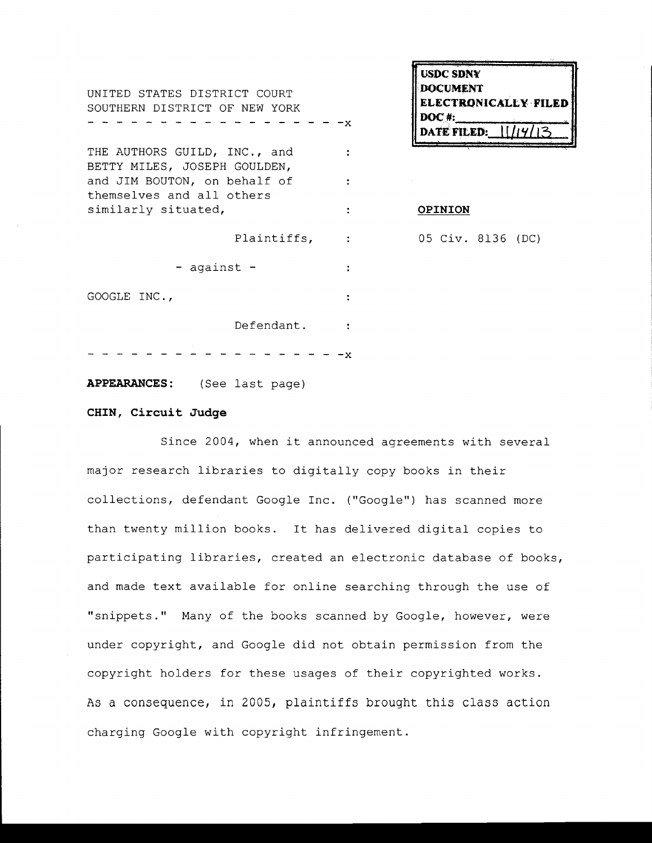**usdc SDNY** UNITED STATES DISTRICT COURT **DOCUMENT ELECTRONICALLY FILED** ELECTRON[C~LL**¥ ·FILED** SOUTHERN DISTRICT OF NEW YORK DOC#:\_\_\_\_\_~"'I-""--.... **-x DATE FILED:** *v ,*  THE AUTHORS GUILD, INC., and  $\mathcal{L}$ BETTY MILES, JOSEPH GOULDEN, and JIM BOUTON, on behalf of  $\ddot{\cdot}$ themselves and all others similarly situated,  $\qquad \qquad : \qquad \qquad$  **OPINION** Plaintiffs, : 05 Civ. 8136 (DC) - against  $\mathbf{r}$ GOOGLE INC.,  $\ddot{\mathbf{r}}$ Defendant.  $\sim$  1. **- -x** 

**APPEARANCES:** (See last page)

## **CHIN, Circuit Judge**

Since 2004, when it announced agreements with several major research libraries to digitally copy books in their collections, defendant Google Inc. ("Google") has scanned more than twenty million books. It has delivered digital copies to participating libraries, created an electronic database of books, and made text available for online searching through the use of "snippets." Many of the books scanned by Google, however, were under copyright, and Google did not obtain permission from the copyright holders for these usages of their copyrighted works. As a consequence, in 2005, plaintiffs brought this class action charging Google with copyright infringement.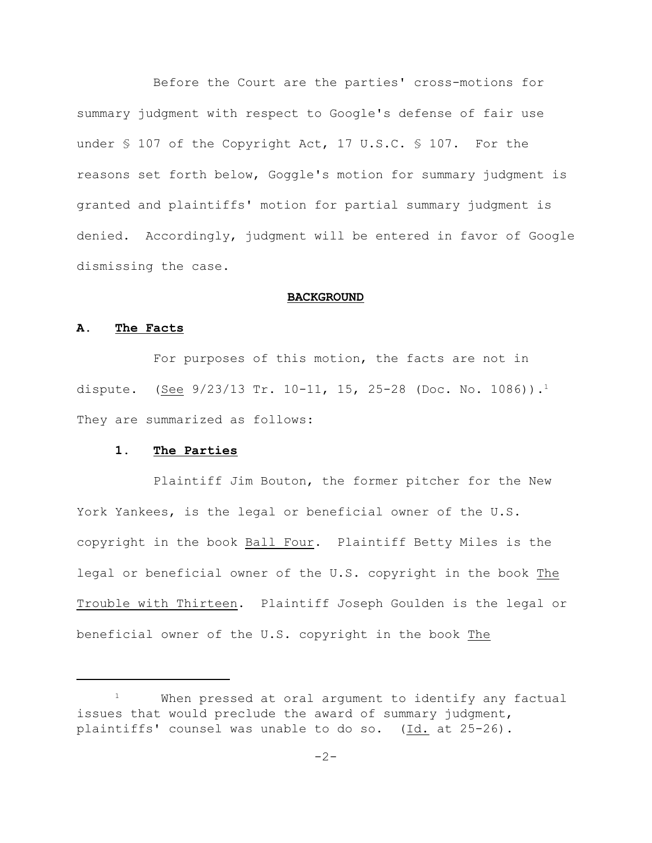Before the Court are the parties' cross-motions for summary judgment with respect to Google's defense of fair use under § 107 of the Copyright Act, 17 U.S.C. § 107. For the reasons set forth below, Goggle's motion for summary judgment is granted and plaintiffs' motion for partial summary judgment is denied. Accordingly, judgment will be entered in favor of Google dismissing the case.

#### **BACKGROUND**

# **A. The Facts**

For purposes of this motion, the facts are not in dispute. (<u>See</u> 9/23/13 Tr. 10-11, 15, 25-28 (Doc. No. 1086)).<sup>1</sup> They are summarized as follows:

## **1. The Parties**

Plaintiff Jim Bouton, the former pitcher for the New York Yankees, is the legal or beneficial owner of the U.S. copyright in the book Ball Four. Plaintiff Betty Miles is the legal or beneficial owner of the U.S. copyright in the book The Trouble with Thirteen. Plaintiff Joseph Goulden is the legal or beneficial owner of the U.S. copyright in the book The

 $1$  When pressed at oral argument to identify any factual issues that would preclude the award of summary judgment, plaintiffs' counsel was unable to do so. (Id. at 25-26).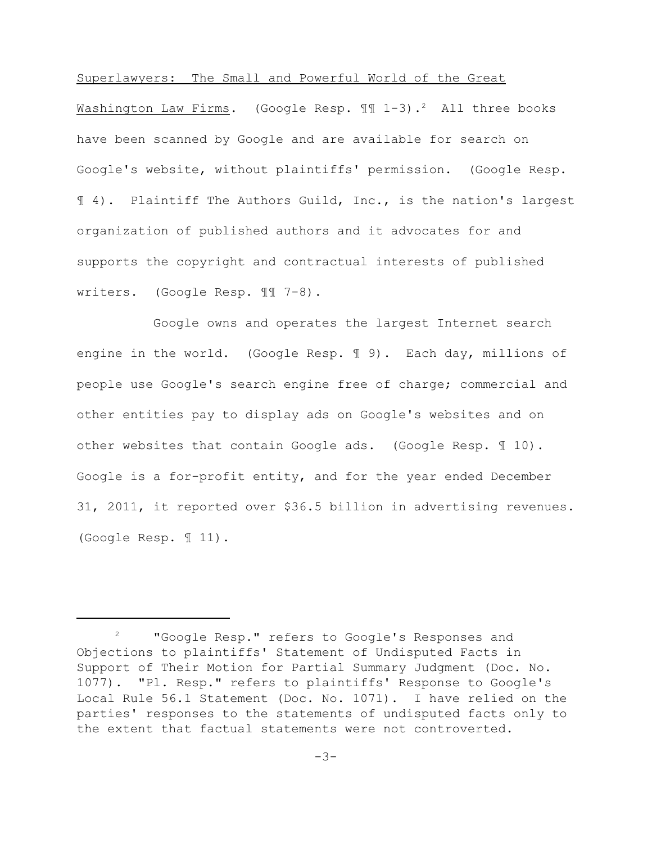# Superlawyers: The Small and Powerful World of the Great

Washington Law Firms. (Google Resp.  $\mathbb{I}$  1-3).<sup>2</sup> All three books have been scanned by Google and are available for search on Google's website, without plaintiffs' permission. (Google Resp. ¶ 4). Plaintiff The Authors Guild, Inc., is the nation's largest organization of published authors and it advocates for and supports the copyright and contractual interests of published writers. (Google Resp. ¶¶ 7-8).

Google owns and operates the largest Internet search engine in the world. (Google Resp. ¶ 9). Each day, millions of people use Google's search engine free of charge; commercial and other entities pay to display ads on Google's websites and on other websites that contain Google ads. (Google Resp. ¶ 10). Google is a for-profit entity, and for the year ended December 31, 2011, it reported over \$36.5 billion in advertising revenues. (Google Resp. ¶ 11).

<sup>&</sup>lt;sup>2</sup> "Google Resp." refers to Google's Responses and Objections to plaintiffs' Statement of Undisputed Facts in Support of Their Motion for Partial Summary Judgment (Doc. No. 1077). "Pl. Resp." refers to plaintiffs' Response to Google's Local Rule 56.1 Statement (Doc. No. 1071). I have relied on the parties' responses to the statements of undisputed facts only to the extent that factual statements were not controverted.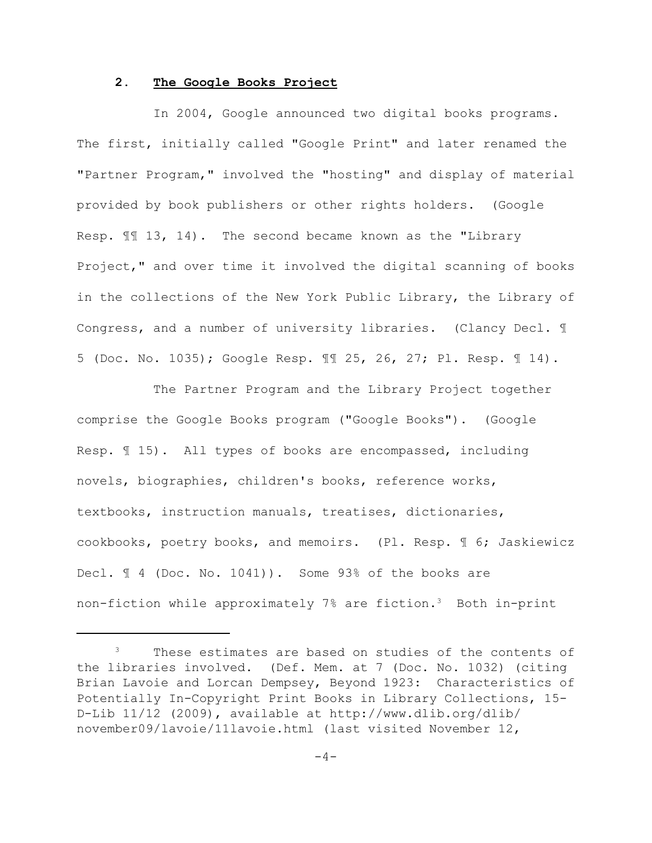### **2. The Google Books Project**

In 2004, Google announced two digital books programs. The first, initially called "Google Print" and later renamed the "Partner Program," involved the "hosting" and display of material provided by book publishers or other rights holders. (Google Resp. ¶¶ 13, 14). The second became known as the "Library Project," and over time it involved the digital scanning of books in the collections of the New York Public Library, the Library of Congress, and a number of university libraries. (Clancy Decl. ¶ 5 (Doc. No. 1035); Google Resp. ¶¶ 25, 26, 27; Pl. Resp. ¶ 14).

The Partner Program and the Library Project together comprise the Google Books program ("Google Books"). (Google Resp. ¶ 15). All types of books are encompassed, including novels, biographies, children's books, reference works, textbooks, instruction manuals, treatises, dictionaries, cookbooks, poetry books, and memoirs. (Pl. Resp. ¶ 6; Jaskiewicz Decl.  $\text{\ensuremath{\mathbb{I}}}$  4 (Doc. No. 1041)). Some 93% of the books are non-fiction while approximately 7% are fiction.<sup>3</sup> Both in-print

 $3$  These estimates are based on studies of the contents of the libraries involved. (Def. Mem. at 7 (Doc. No. 1032) (citing Brian Lavoie and Lorcan Dempsey, Beyond 1923: Characteristics of Potentially In-Copyright Print Books in Library Collections, 15- D-Lib 11/12 (2009), available at http://www.dlib.org/dlib/ november09/lavoie/11lavoie.html (last visited November 12,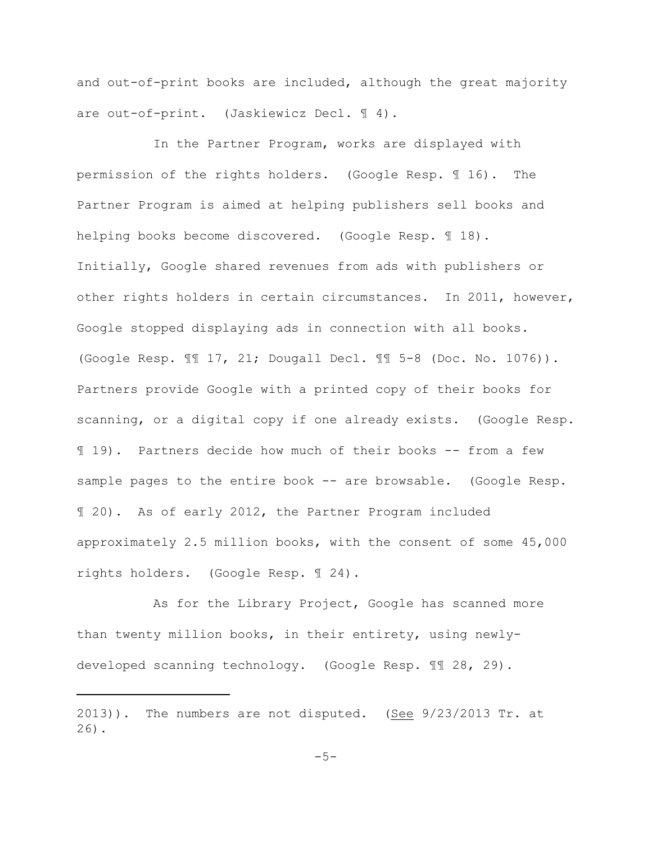and out-of-print books are included, although the great majority are out-of-print. (Jaskiewicz Decl. ¶ 4).

In the Partner Program, works are displayed with permission of the rights holders. (Google Resp. ¶ 16). The Partner Program is aimed at helping publishers sell books and helping books become discovered. (Google Resp. 18). Initially, Google shared revenues from ads with publishers or other rights holders in certain circumstances. In 2011, however, Google stopped displaying ads in connection with all books. (Google Resp. ¶¶ 17, 21; Dougall Decl. ¶¶ 5-8 (Doc. No. 1076)). Partners provide Google with a printed copy of their books for scanning, or a digital copy if one already exists. (Google Resp. ¶ 19). Partners decide how much of their books -- from a few sample pages to the entire book -- are browsable. (Google Resp. ¶ 20). As of early 2012, the Partner Program included approximately 2.5 million books, with the consent of some 45,000 rights holders. (Google Resp. ¶ 24).

As for the Library Project, Google has scanned more than twenty million books, in their entirety, using newlydeveloped scanning technology. (Google Resp. ¶¶ 28, 29).

 $2013$ )). The numbers are not disputed. (See  $9/23/2013$  Tr. at 26).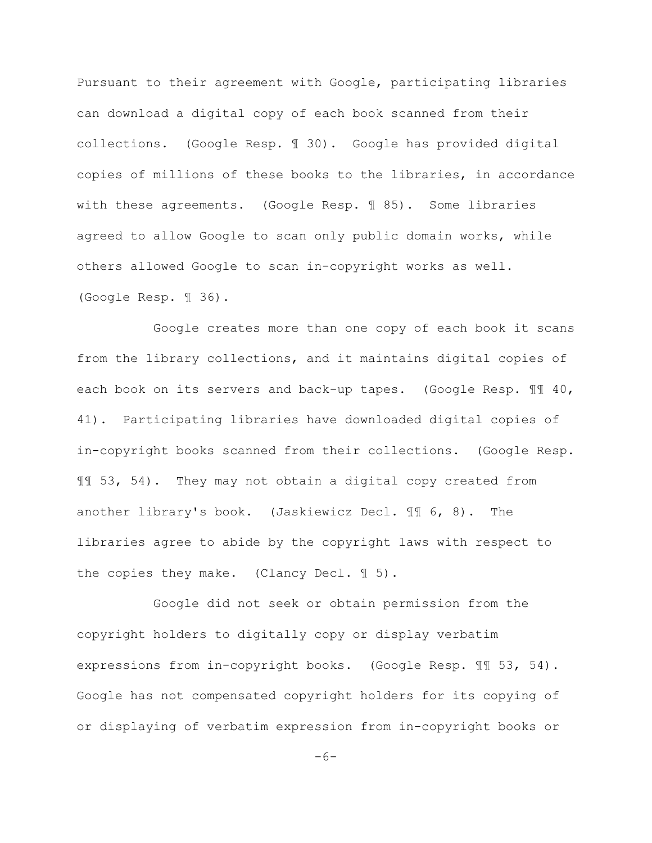Pursuant to their agreement with Google, participating libraries can download a digital copy of each book scanned from their collections. (Google Resp. ¶ 30). Google has provided digital copies of millions of these books to the libraries, in accordance with these agreements. (Google Resp. ¶ 85). Some libraries agreed to allow Google to scan only public domain works, while others allowed Google to scan in-copyright works as well. (Google Resp. ¶ 36).

Google creates more than one copy of each book it scans from the library collections, and it maintains digital copies of each book on its servers and back-up tapes. (Google Resp. 11 40, 41). Participating libraries have downloaded digital copies of in-copyright books scanned from their collections. (Google Resp. ¶¶ 53, 54). They may not obtain a digital copy created from another library's book. (Jaskiewicz Decl. ¶¶ 6, 8). The libraries agree to abide by the copyright laws with respect to the copies they make. (Clancy Decl. 15).

Google did not seek or obtain permission from the copyright holders to digitally copy or display verbatim expressions from in-copyright books. (Google Resp. ¶¶ 53, 54). Google has not compensated copyright holders for its copying of or displaying of verbatim expression from in-copyright books or

 $-6-$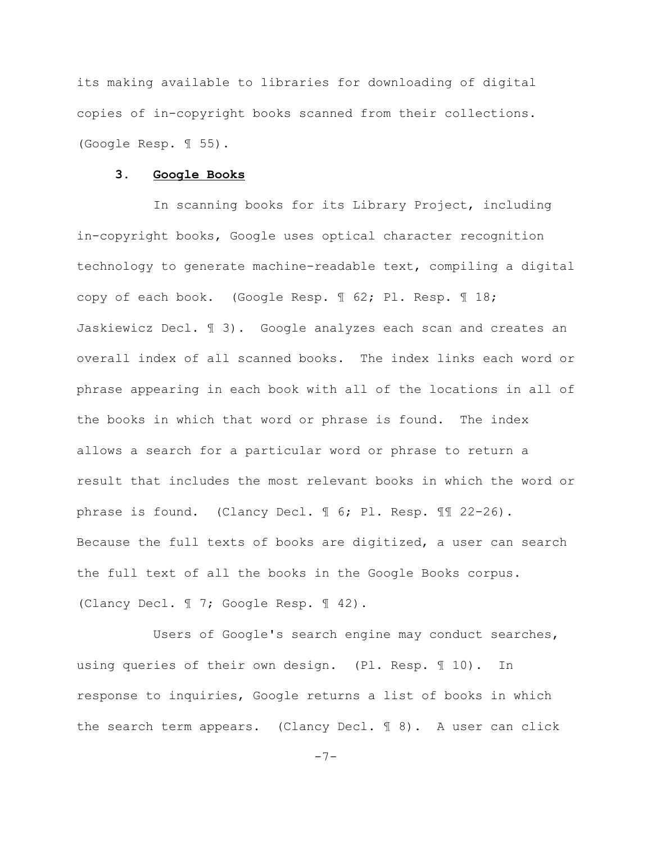its making available to libraries for downloading of digital copies of in-copyright books scanned from their collections. (Google Resp. ¶ 55).

#### **3. Google Books**

In scanning books for its Library Project, including in-copyright books, Google uses optical character recognition technology to generate machine-readable text, compiling a digital copy of each book. (Google Resp. ¶ 62; Pl. Resp. ¶ 18; Jaskiewicz Decl. ¶ 3). Google analyzes each scan and creates an overall index of all scanned books. The index links each word or phrase appearing in each book with all of the locations in all of the books in which that word or phrase is found. The index allows a search for a particular word or phrase to return a result that includes the most relevant books in which the word or phrase is found. (Clancy Decl. ¶ 6; Pl. Resp. ¶¶ 22-26). Because the full texts of books are digitized, a user can search the full text of all the books in the Google Books corpus. (Clancy Decl. ¶ 7; Google Resp. ¶ 42).

Users of Google's search engine may conduct searches, using queries of their own design. (Pl. Resp. ¶ 10). In response to inquiries, Google returns a list of books in which the search term appears. (Clancy Decl. ¶ 8). A user can click

-7-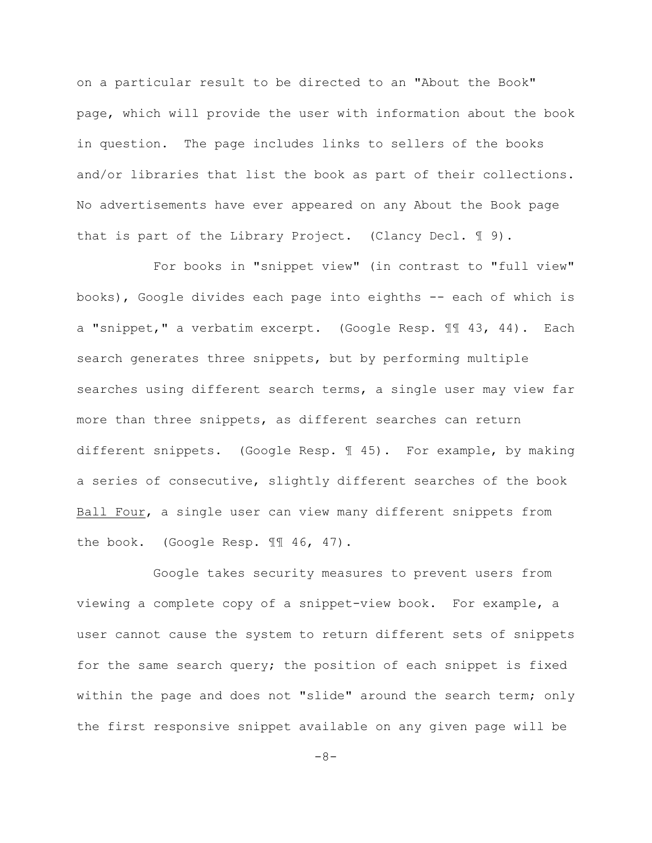on a particular result to be directed to an "About the Book" page, which will provide the user with information about the book in question. The page includes links to sellers of the books and/or libraries that list the book as part of their collections. No advertisements have ever appeared on any About the Book page that is part of the Library Project. (Clancy Decl. 19).

For books in "snippet view" (in contrast to "full view" books), Google divides each page into eighths -- each of which is a "snippet," a verbatim excerpt. (Google Resp. ¶¶ 43, 44). Each search generates three snippets, but by performing multiple searches using different search terms, a single user may view far more than three snippets, as different searches can return different snippets. (Google Resp. ¶ 45). For example, by making a series of consecutive, slightly different searches of the book Ball Four, a single user can view many different snippets from the book. (Google Resp. 11 46, 47).

Google takes security measures to prevent users from viewing a complete copy of a snippet-view book. For example, a user cannot cause the system to return different sets of snippets for the same search query; the position of each snippet is fixed within the page and does not "slide" around the search term; only the first responsive snippet available on any given page will be

 $-8-$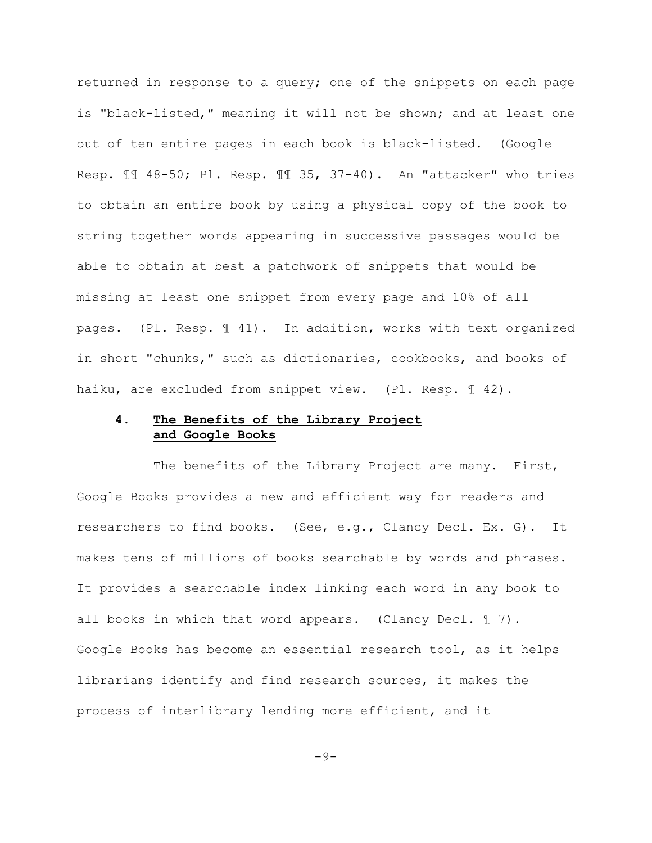returned in response to a query; one of the snippets on each page is "black-listed," meaning it will not be shown; and at least one out of ten entire pages in each book is black-listed. (Google Resp. ¶¶ 48-50; Pl. Resp. ¶¶ 35, 37-40). An "attacker" who tries to obtain an entire book by using a physical copy of the book to string together words appearing in successive passages would be able to obtain at best a patchwork of snippets that would be missing at least one snippet from every page and 10% of all pages. (Pl. Resp. ¶ 41). In addition, works with text organized in short "chunks," such as dictionaries, cookbooks, and books of haiku, are excluded from snippet view. (Pl. Resp.  $\mathbb{I}$  42).

# **4. The Benefits of the Library Project and Google Books**

The benefits of the Library Project are many. First, Google Books provides a new and efficient way for readers and researchers to find books. (See, e.g., Clancy Decl. Ex. G). It makes tens of millions of books searchable by words and phrases. It provides a searchable index linking each word in any book to all books in which that word appears. (Clancy Decl.  $\mathbb{I}$  7). Google Books has become an essential research tool, as it helps librarians identify and find research sources, it makes the process of interlibrary lending more efficient, and it

$$
-\,9\,-
$$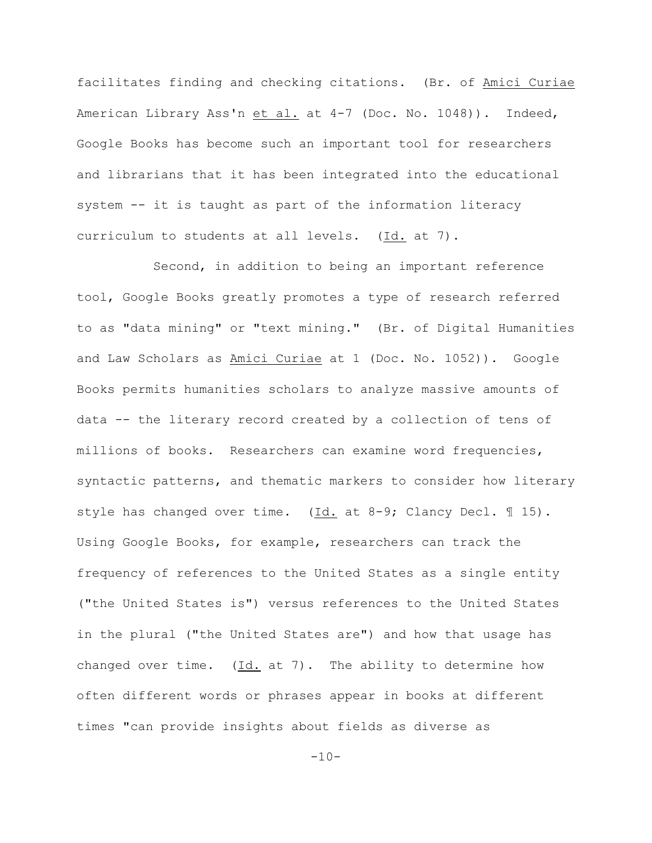facilitates finding and checking citations. (Br. of Amici Curiae American Library Ass'n et al. at 4-7 (Doc. No. 1048)). Indeed, Google Books has become such an important tool for researchers and librarians that it has been integrated into the educational system -- it is taught as part of the information literacy curriculum to students at all levels. (Id. at 7).

Second, in addition to being an important reference tool, Google Books greatly promotes a type of research referred to as "data mining" or "text mining." (Br. of Digital Humanities and Law Scholars as Amici Curiae at 1 (Doc. No. 1052)). Google Books permits humanities scholars to analyze massive amounts of data -- the literary record created by a collection of tens of millions of books. Researchers can examine word frequencies, syntactic patterns, and thematic markers to consider how literary style has changed over time. (Id. at 8-9; Clancy Decl. ¶ 15). Using Google Books, for example, researchers can track the frequency of references to the United States as a single entity ("the United States is") versus references to the United States in the plural ("the United States are") and how that usage has changed over time. (Id. at 7). The ability to determine how often different words or phrases appear in books at different times "can provide insights about fields as diverse as

 $-10-$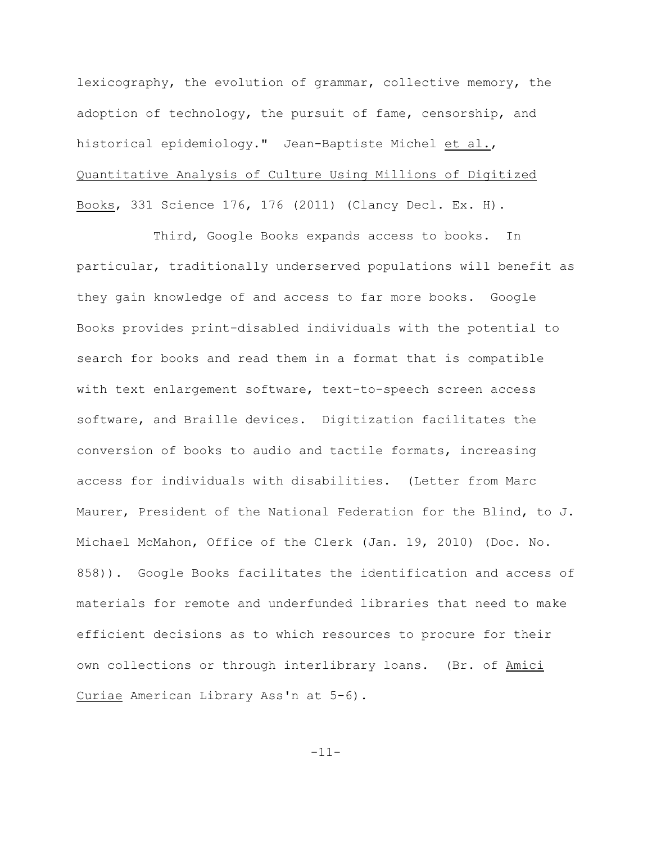lexicography, the evolution of grammar, collective memory, the adoption of technology, the pursuit of fame, censorship, and historical epidemiology." Jean-Baptiste Michel et al., Quantitative Analysis of Culture Using Millions of Digitized Books, 331 Science 176, 176 (2011) (Clancy Decl. Ex. H).

Third, Google Books expands access to books. In particular, traditionally underserved populations will benefit as they gain knowledge of and access to far more books. Google Books provides print-disabled individuals with the potential to search for books and read them in a format that is compatible with text enlargement software, text-to-speech screen access software, and Braille devices. Digitization facilitates the conversion of books to audio and tactile formats, increasing access for individuals with disabilities. (Letter from Marc Maurer, President of the National Federation for the Blind, to J. Michael McMahon, Office of the Clerk (Jan. 19, 2010) (Doc. No. 858)). Google Books facilitates the identification and access of materials for remote and underfunded libraries that need to make efficient decisions as to which resources to procure for their own collections or through interlibrary loans. (Br. of Amici Curiae American Library Ass'n at 5-6).

-11-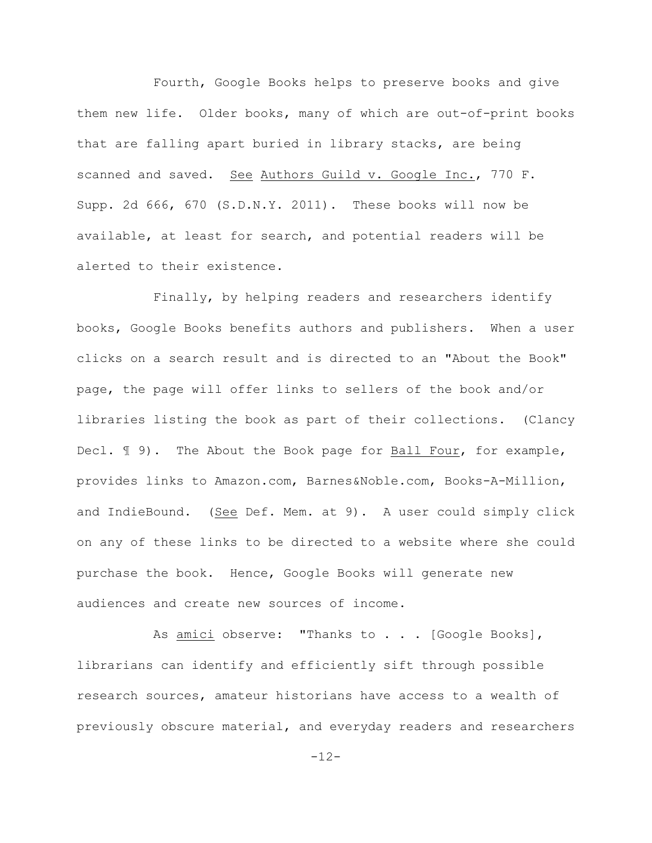Fourth, Google Books helps to preserve books and give them new life. Older books, many of which are out-of-print books that are falling apart buried in library stacks, are being scanned and saved. See Authors Guild v. Google Inc., 770 F. Supp. 2d 666, 670 (S.D.N.Y. 2011). These books will now be available, at least for search, and potential readers will be alerted to their existence.

Finally, by helping readers and researchers identify books, Google Books benefits authors and publishers. When a user clicks on a search result and is directed to an "About the Book" page, the page will offer links to sellers of the book and/or libraries listing the book as part of their collections. (Clancy Decl. 19). The About the Book page for Ball Four, for example, provides links to Amazon.com, Barnes&Noble.com, Books-A-Million, and IndieBound. (See Def. Mem. at 9). A user could simply click on any of these links to be directed to a website where she could purchase the book. Hence, Google Books will generate new audiences and create new sources of income.

As <u>amici</u> observe: "Thanks to . . . [Google Books], librarians can identify and efficiently sift through possible research sources, amateur historians have access to a wealth of previously obscure material, and everyday readers and researchers

-12-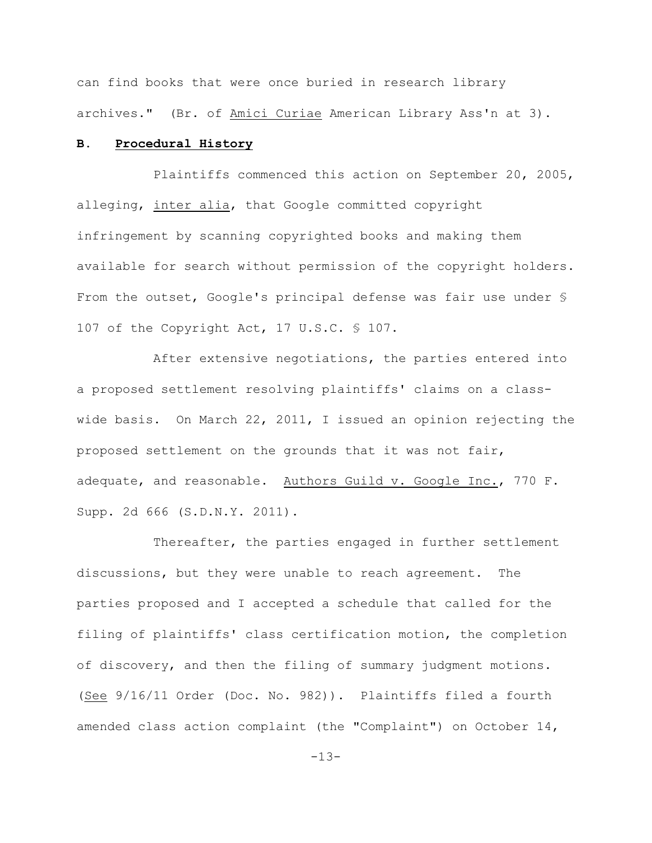can find books that were once buried in research library archives." (Br. of Amici Curiae American Library Ass'n at 3).

## **B. Procedural History**

Plaintiffs commenced this action on September 20, 2005, alleging, inter alia, that Google committed copyright infringement by scanning copyrighted books and making them available for search without permission of the copyright holders. From the outset, Google's principal defense was fair use under § 107 of the Copyright Act, 17 U.S.C. § 107.

After extensive negotiations, the parties entered into a proposed settlement resolving plaintiffs' claims on a classwide basis. On March 22, 2011, I issued an opinion rejecting the proposed settlement on the grounds that it was not fair, adequate, and reasonable. Authors Guild v. Google Inc., 770 F. Supp. 2d 666 (S.D.N.Y. 2011).

Thereafter, the parties engaged in further settlement discussions, but they were unable to reach agreement. The parties proposed and I accepted a schedule that called for the filing of plaintiffs' class certification motion, the completion of discovery, and then the filing of summary judgment motions. (See 9/16/11 Order (Doc. No. 982)). Plaintiffs filed a fourth amended class action complaint (the "Complaint") on October 14,

-13-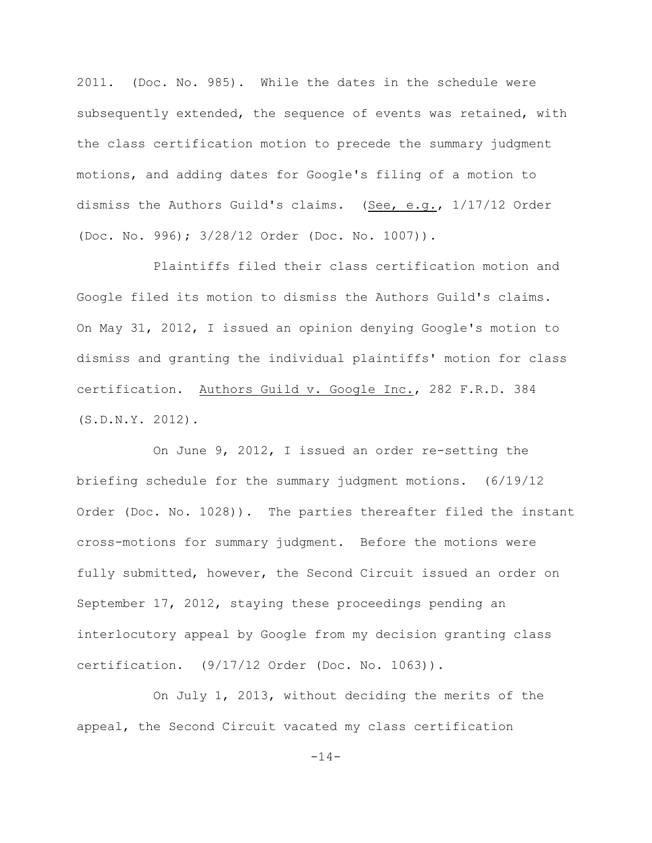2011. (Doc. No. 985). While the dates in the schedule were subsequently extended, the sequence of events was retained, with the class certification motion to precede the summary judgment motions, and adding dates for Google's filing of a motion to dismiss the Authors Guild's claims. (See, e.g., 1/17/12 Order (Doc. No. 996); 3/28/12 Order (Doc. No. 1007)).

Plaintiffs filed their class certification motion and Google filed its motion to dismiss the Authors Guild's claims. On May 31, 2012, I issued an opinion denying Google's motion to dismiss and granting the individual plaintiffs' motion for class certification. Authors Guild v. Google Inc., 282 F.R.D. 384 (S.D.N.Y. 2012).

On June 9, 2012, I issued an order re-setting the briefing schedule for the summary judgment motions. (6/19/12 Order (Doc. No. 1028)). The parties thereafter filed the instant cross-motions for summary judgment. Before the motions were fully submitted, however, the Second Circuit issued an order on September 17, 2012, staying these proceedings pending an interlocutory appeal by Google from my decision granting class certification. (9/17/12 Order (Doc. No. 1063)).

On July 1, 2013, without deciding the merits of the appeal, the Second Circuit vacated my class certification

 $-14-$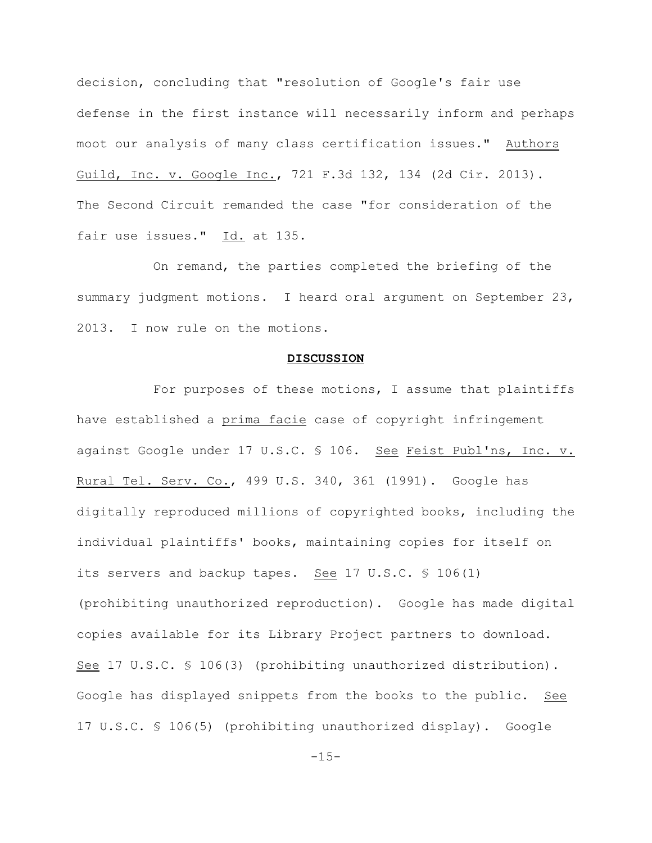decision, concluding that "resolution of Google's fair use defense in the first instance will necessarily inform and perhaps moot our analysis of many class certification issues." Authors Guild, Inc. v. Google Inc., 721 F.3d 132, 134 (2d Cir. 2013). The Second Circuit remanded the case "for consideration of the fair use issues." Id. at 135.

On remand, the parties completed the briefing of the summary judgment motions. I heard oral argument on September 23, 2013. I now rule on the motions.

#### **DISCUSSION**

For purposes of these motions, I assume that plaintiffs have established a prima facie case of copyright infringement against Google under 17 U.S.C. § 106. See Feist Publ'ns, Inc. v. Rural Tel. Serv. Co., 499 U.S. 340, 361 (1991). Google has digitally reproduced millions of copyrighted books, including the individual plaintiffs' books, maintaining copies for itself on its servers and backup tapes. See 17 U.S.C. § 106(1) (prohibiting unauthorized reproduction). Google has made digital copies available for its Library Project partners to download. See 17 U.S.C. § 106(3) (prohibiting unauthorized distribution). Google has displayed snippets from the books to the public. See 17 U.S.C. § 106(5) (prohibiting unauthorized display). Google

 $-15-$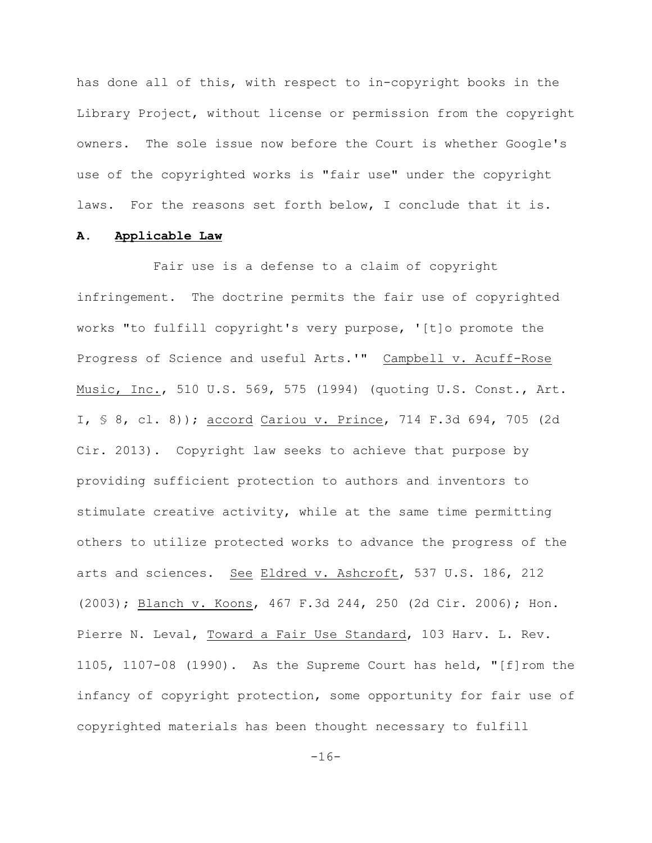has done all of this, with respect to in-copyright books in the Library Project, without license or permission from the copyright owners. The sole issue now before the Court is whether Google's use of the copyrighted works is "fair use" under the copyright laws. For the reasons set forth below, I conclude that it is.

#### **A. Applicable Law**

Fair use is a defense to a claim of copyright infringement. The doctrine permits the fair use of copyrighted works "to fulfill copyright's very purpose, '[t]o promote the Progress of Science and useful Arts.'" Campbell v. Acuff-Rose Music, Inc., 510 U.S. 569, 575 (1994) (quoting U.S. Const., Art. I, § 8, cl. 8)); accord Cariou v. Prince, 714 F.3d 694, 705 (2d Cir. 2013). Copyright law seeks to achieve that purpose by providing sufficient protection to authors and inventors to stimulate creative activity, while at the same time permitting others to utilize protected works to advance the progress of the arts and sciences. See Eldred v. Ashcroft, 537 U.S. 186, 212 (2003); Blanch v. Koons, 467 F.3d 244, 250 (2d Cir. 2006); Hon. Pierre N. Leval, Toward a Fair Use Standard, 103 Harv. L. Rev. 1105, 1107-08 (1990). As the Supreme Court has held, "[f]rom the infancy of copyright protection, some opportunity for fair use of copyrighted materials has been thought necessary to fulfill

-16-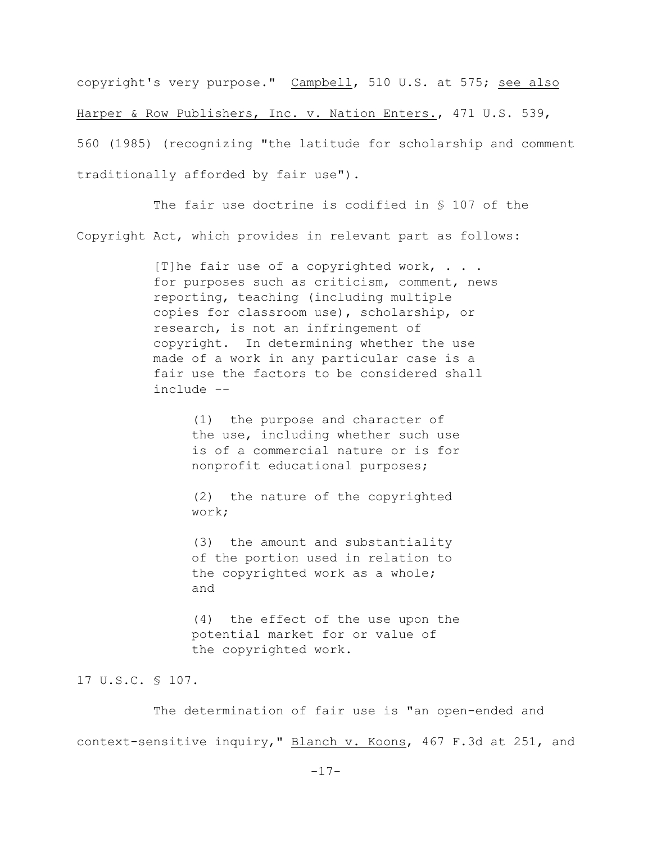copyright's very purpose." Campbell, 510 U.S. at 575; see also Harper & Row Publishers, Inc. v. Nation Enters., 471 U.S. 539, 560 (1985) (recognizing "the latitude for scholarship and comment traditionally afforded by fair use").

The fair use doctrine is codified in § 107 of the Copyright Act, which provides in relevant part as follows:

> [T] he fair use of a copyrighted work,  $\ldots$ for purposes such as criticism, comment, news reporting, teaching (including multiple copies for classroom use), scholarship, or research, is not an infringement of copyright. In determining whether the use made of a work in any particular case is a fair use the factors to be considered shall include --

> > (1) the purpose and character of the use, including whether such use is of a commercial nature or is for nonprofit educational purposes;

(2) the nature of the copyrighted work;

(3) the amount and substantiality of the portion used in relation to the copyrighted work as a whole; and

(4) the effect of the use upon the potential market for or value of the copyrighted work.

# 17 U.S.C. § 107.

The determination of fair use is "an open-ended and context-sensitive inquiry," Blanch v. Koons, 467 F.3d at 251, and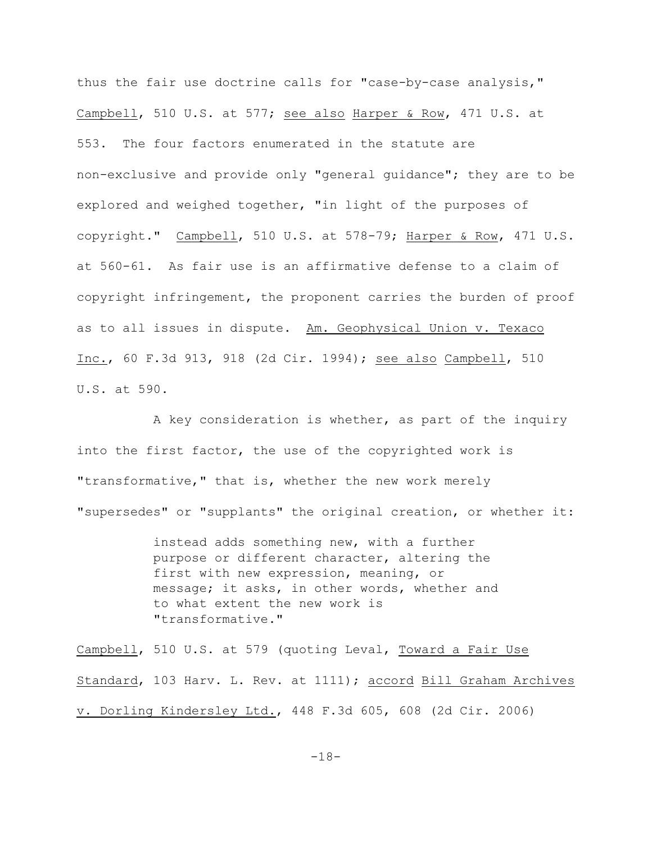thus the fair use doctrine calls for "case-by-case analysis," Campbell, 510 U.S. at 577; see also Harper & Row, 471 U.S. at 553. The four factors enumerated in the statute are non-exclusive and provide only "general guidance"; they are to be explored and weighed together, "in light of the purposes of copyright." Campbell, 510 U.S. at 578-79; Harper & Row, 471 U.S. at 560-61. As fair use is an affirmative defense to a claim of copyright infringement, the proponent carries the burden of proof as to all issues in dispute. Am. Geophysical Union v. Texaco Inc., 60 F.3d 913, 918 (2d Cir. 1994); see also Campbell, 510 U.S. at 590.

A key consideration is whether, as part of the inquiry into the first factor, the use of the copyrighted work is "transformative," that is, whether the new work merely "supersedes" or "supplants" the original creation, or whether it:

> instead adds something new, with a further purpose or different character, altering the first with new expression, meaning, or message; it asks, in other words, whether and to what extent the new work is "transformative."

Campbell, 510 U.S. at 579 (quoting Leval, Toward a Fair Use Standard, 103 Harv. L. Rev. at 1111); accord Bill Graham Archives v. Dorling Kindersley Ltd., 448 F.3d 605, 608 (2d Cir. 2006)

-18-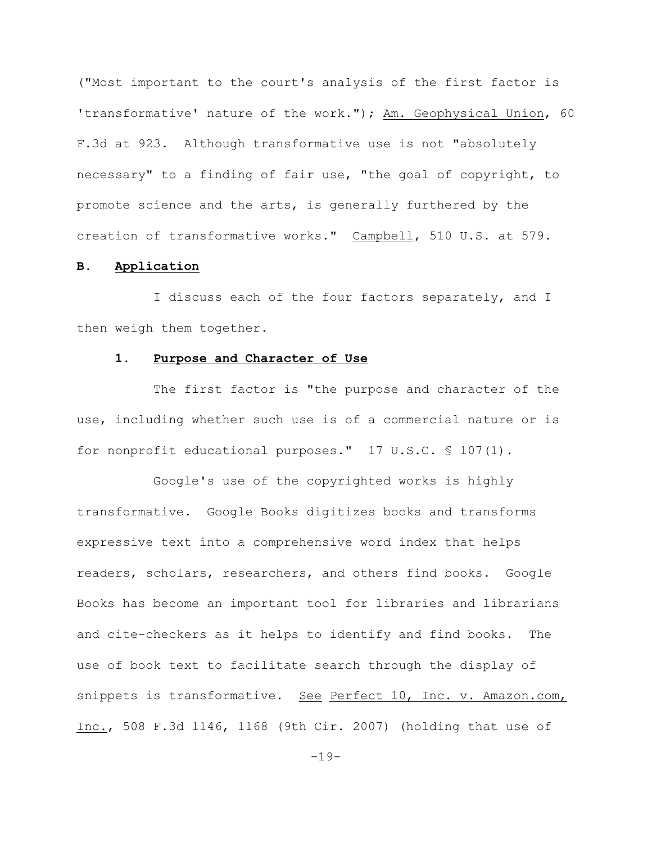("Most important to the court's analysis of the first factor is 'transformative' nature of the work."); Am. Geophysical Union, 60 F.3d at 923. Although transformative use is not "absolutely necessary" to a finding of fair use, "the goal of copyright, to promote science and the arts, is generally furthered by the creation of transformative works." Campbell, 510 U.S. at 579.

### **B. Application**

I discuss each of the four factors separately, and I then weigh them together.

#### **1. Purpose and Character of Use**

The first factor is "the purpose and character of the use, including whether such use is of a commercial nature or is for nonprofit educational purposes." 17 U.S.C. § 107(1).

Google's use of the copyrighted works is highly transformative. Google Books digitizes books and transforms expressive text into a comprehensive word index that helps readers, scholars, researchers, and others find books. Google Books has become an important tool for libraries and librarians and cite-checkers as it helps to identify and find books. The use of book text to facilitate search through the display of snippets is transformative. See Perfect 10, Inc. v. Amazon.com, Inc., 508 F.3d 1146, 1168 (9th Cir. 2007) (holding that use of

-19-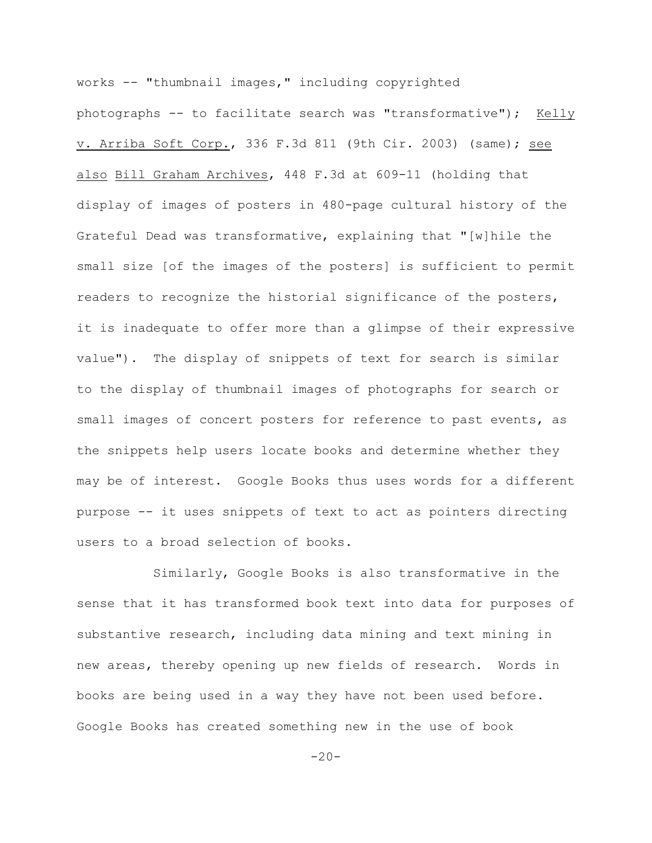works -- "thumbnail images," including copyrighted photographs -- to facilitate search was "transformative"); Kelly v. Arriba Soft Corp., 336 F.3d 811 (9th Cir. 2003) (same); see also Bill Graham Archives, 448 F.3d at 609-11 (holding that display of images of posters in 480-page cultural history of the Grateful Dead was transformative, explaining that "[w]hile the small size [of the images of the posters] is sufficient to permit readers to recognize the historial significance of the posters, it is inadequate to offer more than a glimpse of their expressive value"). The display of snippets of text for search is similar to the display of thumbnail images of photographs for search or small images of concert posters for reference to past events, as the snippets help users locate books and determine whether they may be of interest. Google Books thus uses words for a different purpose -- it uses snippets of text to act as pointers directing users to a broad selection of books.

Similarly, Google Books is also transformative in the sense that it has transformed book text into data for purposes of substantive research, including data mining and text mining in new areas, thereby opening up new fields of research. Words in books are being used in a way they have not been used before. Google Books has created something new in the use of book

 $-20-$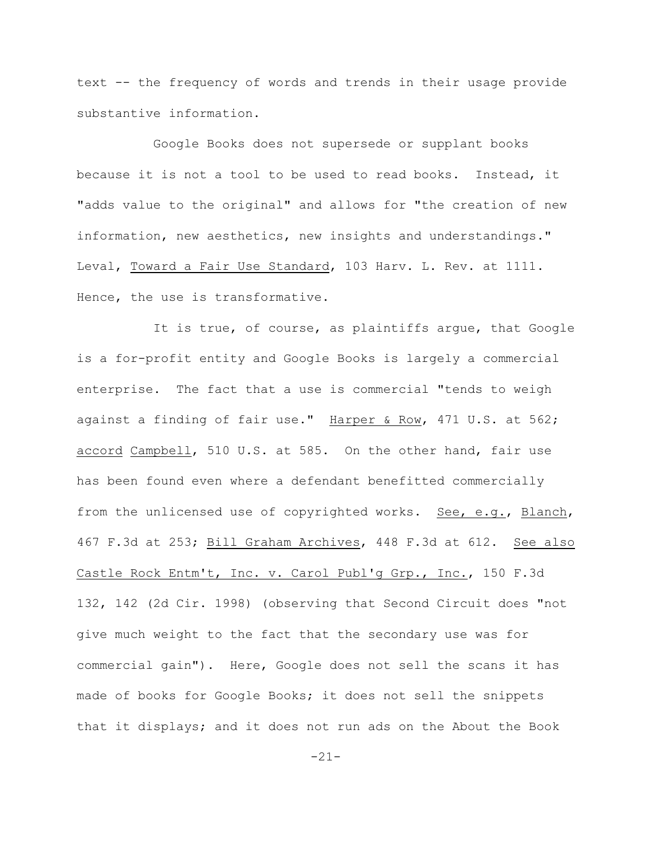text -- the frequency of words and trends in their usage provide substantive information.

Google Books does not supersede or supplant books because it is not a tool to be used to read books. Instead, it "adds value to the original" and allows for "the creation of new information, new aesthetics, new insights and understandings." Leval, Toward a Fair Use Standard, 103 Harv. L. Rev. at 1111. Hence, the use is transformative.

It is true, of course, as plaintiffs arque, that Google is a for-profit entity and Google Books is largely a commercial enterprise. The fact that a use is commercial "tends to weigh against a finding of fair use." Harper & Row, 471 U.S. at 562; accord Campbell, 510 U.S. at 585. On the other hand, fair use has been found even where a defendant benefitted commercially from the unlicensed use of copyrighted works. See, e.g., Blanch, 467 F.3d at 253; Bill Graham Archives, 448 F.3d at 612. See also Castle Rock Entm't, Inc. v. Carol Publ'g Grp., Inc., 150 F.3d 132, 142 (2d Cir. 1998) (observing that Second Circuit does "not give much weight to the fact that the secondary use was for commercial gain"). Here, Google does not sell the scans it has made of books for Google Books; it does not sell the snippets that it displays; and it does not run ads on the About the Book

-21-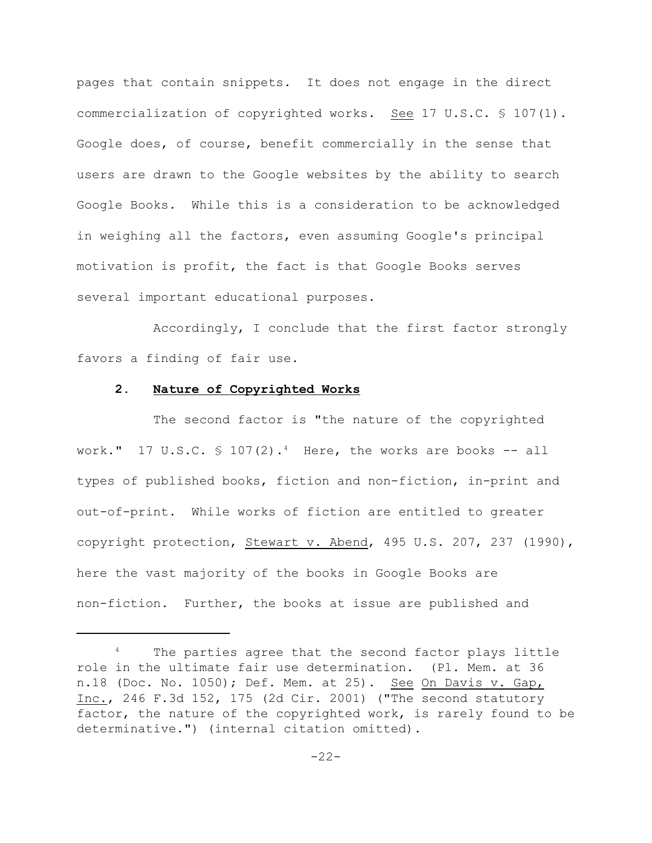pages that contain snippets. It does not engage in the direct commercialization of copyrighted works. See 17 U.S.C. § 107(1). Google does, of course, benefit commercially in the sense that users are drawn to the Google websites by the ability to search Google Books. While this is a consideration to be acknowledged in weighing all the factors, even assuming Google's principal motivation is profit, the fact is that Google Books serves several important educational purposes.

Accordingly, I conclude that the first factor strongly favors a finding of fair use.

# **2. Nature of Copyrighted Works**

The second factor is "the nature of the copyrighted work." 17 U.S.C.  $\frac{1}{2}$  107(2).<sup>4</sup> Here, the works are books -- all types of published books, fiction and non-fiction, in-print and out-of-print. While works of fiction are entitled to greater copyright protection, Stewart v. Abend, 495 U.S. 207, 237 (1990), here the vast majority of the books in Google Books are non-fiction. Further, the books at issue are published and

<sup>&</sup>lt;sup>4</sup> The parties agree that the second factor plays little role in the ultimate fair use determination. (Pl. Mem. at 36 n.18 (Doc. No. 1050); Def. Mem. at 25). See On Davis v. Gap, Inc., 246 F.3d 152, 175 (2d Cir. 2001) ("The second statutory factor, the nature of the copyrighted work, is rarely found to be determinative.") (internal citation omitted).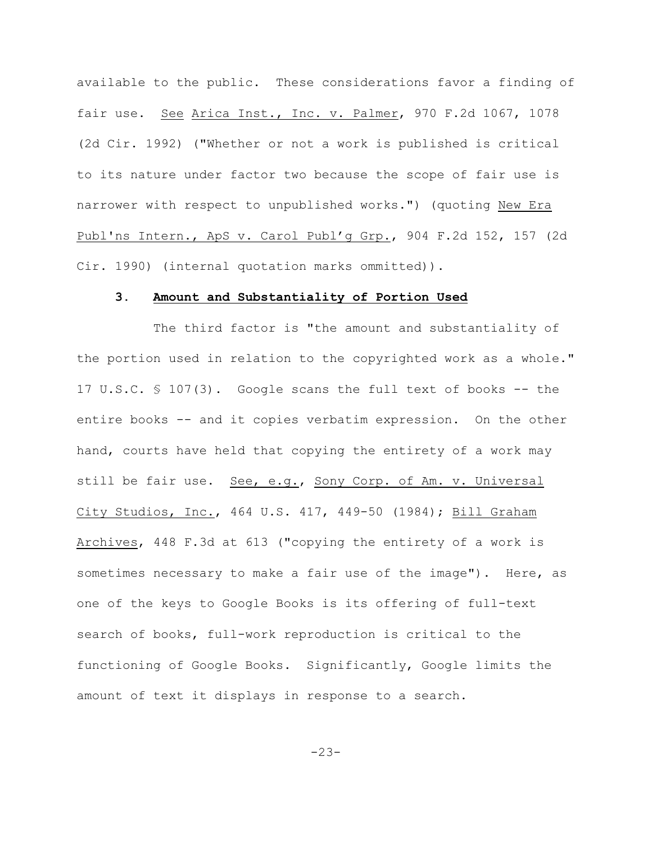available to the public. These considerations favor a finding of fair use. See Arica Inst., Inc. v. Palmer, 970 F.2d 1067, 1078 (2d Cir. 1992) ("Whether or not a work is published is critical to its nature under factor two because the scope of fair use is narrower with respect to unpublished works.") (quoting New Era Publ'ns Intern., ApS v. Carol Publ'g Grp., 904 F.2d 152, 157 (2d Cir. 1990) (internal quotation marks ommitted)).

#### **3. Amount and Substantiality of Portion Used**

The third factor is "the amount and substantiality of the portion used in relation to the copyrighted work as a whole**."**  17 U.S.C. § 107(3). Google scans the full text of books -- the entire books -- and it copies verbatim expression. On the other hand, courts have held that copying the entirety of a work may still be fair use. See, e.g., Sony Corp. of Am. v. Universal City Studios, Inc., 464 U.S. 417, 449-50 (1984); Bill Graham Archives, 448 F.3d at 613 ("copying the entirety of a work is sometimes necessary to make a fair use of the image"). Here, as one of the keys to Google Books is its offering of full-text search of books, full-work reproduction is critical to the functioning of Google Books. Significantly, Google limits the amount of text it displays in response to a search.

 $-23-$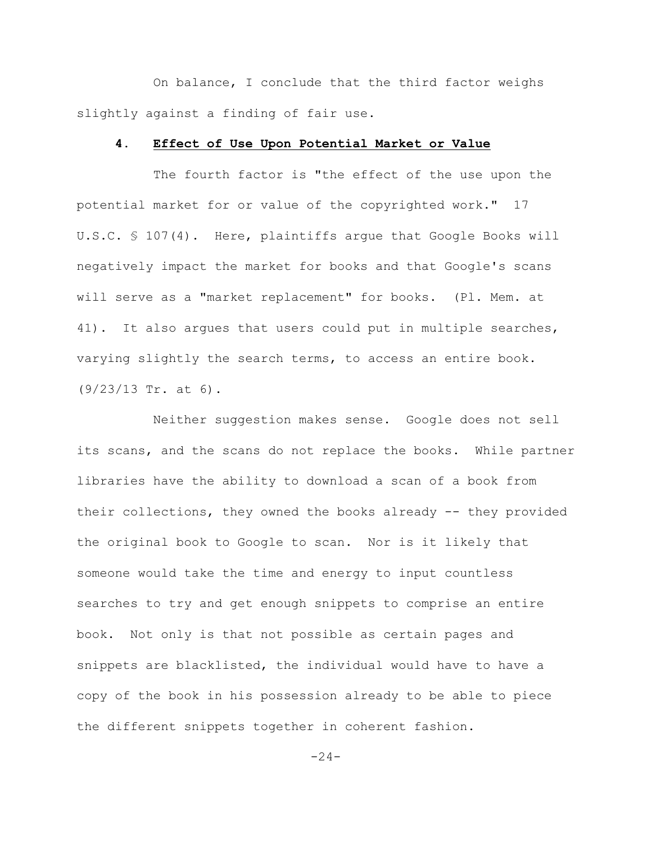On balance, I conclude that the third factor weighs slightly against a finding of fair use.

#### **4. Effect of Use Upon Potential Market or Value**

The fourth factor is "the effect of the use upon the potential market for or value of the copyrighted work." 17 U.S.C. § 107(4). Here, plaintiffs argue that Google Books will negatively impact the market for books and that Google's scans will serve as a "market replacement" for books. (Pl. Mem. at 41). It also argues that users could put in multiple searches, varying slightly the search terms, to access an entire book. (9/23/13 Tr. at 6).

Neither suggestion makes sense. Google does not sell its scans, and the scans do not replace the books. While partner libraries have the ability to download a scan of a book from their collections, they owned the books already -- they provided the original book to Google to scan. Nor is it likely that someone would take the time and energy to input countless searches to try and get enough snippets to comprise an entire book. Not only is that not possible as certain pages and snippets are blacklisted, the individual would have to have a copy of the book in his possession already to be able to piece the different snippets together in coherent fashion.

 $-24-$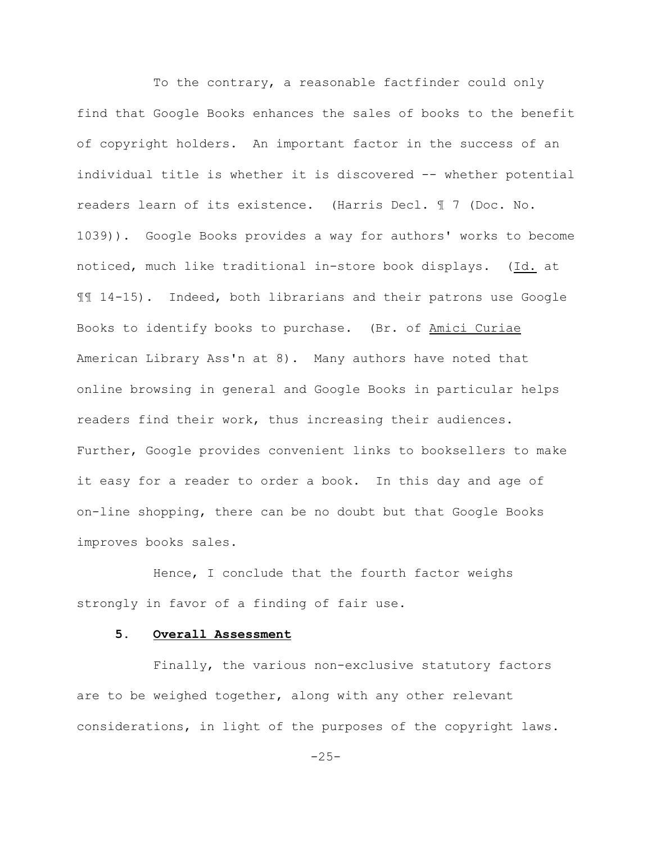To the contrary, a reasonable factfinder could only find that Google Books enhances the sales of books to the benefit of copyright holders. An important factor in the success of an individual title is whether it is discovered -- whether potential readers learn of its existence. (Harris Decl. ¶ 7 (Doc. No. 1039)). Google Books provides a way for authors' works to become noticed, much like traditional in-store book displays. (Id. at ¶¶ 14-15). Indeed, both librarians and their patrons use Google Books to identify books to purchase. (Br. of Amici Curiae American Library Ass'n at 8). Many authors have noted that online browsing in general and Google Books in particular helps readers find their work, thus increasing their audiences. Further, Google provides convenient links to booksellers to make it easy for a reader to order a book. In this day and age of on-line shopping, there can be no doubt but that Google Books improves books sales.

Hence, I conclude that the fourth factor weighs strongly in favor of a finding of fair use.

## **5. Overall Assessment**

Finally, the various non-exclusive statutory factors are to be weighed together, along with any other relevant considerations, in light of the purposes of the copyright laws.

 $-25-$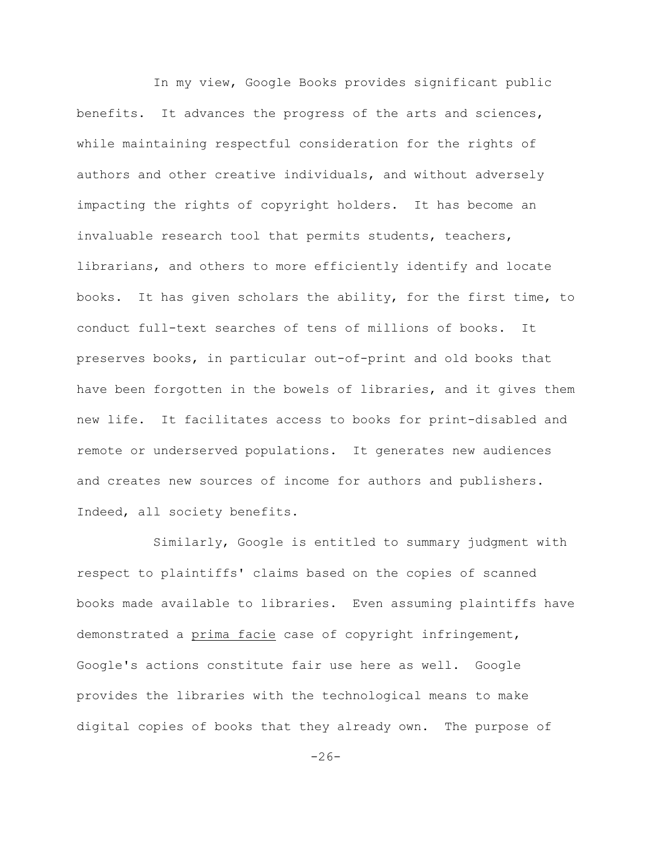In my view, Google Books provides significant public benefits. It advances the progress of the arts and sciences, while maintaining respectful consideration for the rights of authors and other creative individuals, and without adversely impacting the rights of copyright holders. It has become an invaluable research tool that permits students, teachers, librarians, and others to more efficiently identify and locate books. It has given scholars the ability, for the first time, to conduct full-text searches of tens of millions of books. It preserves books, in particular out-of-print and old books that have been forgotten in the bowels of libraries, and it gives them new life. It facilitates access to books for print-disabled and remote or underserved populations. It generates new audiences and creates new sources of income for authors and publishers. Indeed, all society benefits.

Similarly, Google is entitled to summary judgment with respect to plaintiffs' claims based on the copies of scanned books made available to libraries. Even assuming plaintiffs have demonstrated a prima facie case of copyright infringement, Google's actions constitute fair use here as well. Google provides the libraries with the technological means to make digital copies of books that they already own. The purpose of

 $-26-$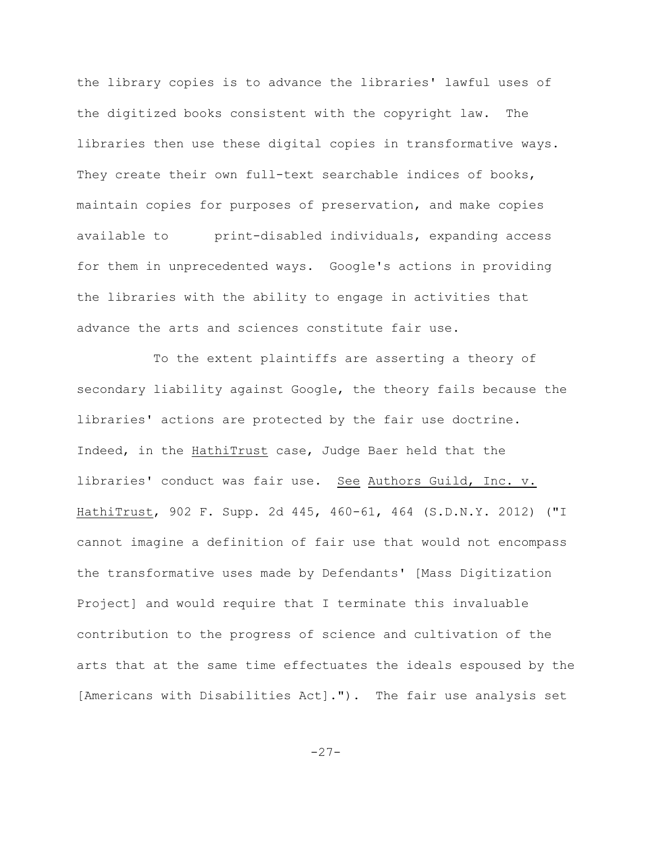the library copies is to advance the libraries' lawful uses of the digitized books consistent with the copyright law. The libraries then use these digital copies in transformative ways. They create their own full-text searchable indices of books, maintain copies for purposes of preservation, and make copies available to print-disabled individuals, expanding access for them in unprecedented ways. Google's actions in providing the libraries with the ability to engage in activities that advance the arts and sciences constitute fair use.

To the extent plaintiffs are asserting a theory of secondary liability against Google, the theory fails because the libraries' actions are protected by the fair use doctrine. Indeed, in the HathiTrust case, Judge Baer held that the libraries' conduct was fair use. See Authors Guild, Inc. v. HathiTrust, 902 F. Supp. 2d 445, 460-61, 464 (S.D.N.Y. 2012) ("I cannot imagine a definition of fair use that would not encompass the transformative uses made by Defendants' [Mass Digitization Project] and would require that I terminate this invaluable contribution to the progress of science and cultivation of the arts that at the same time effectuates the ideals espoused by the [Americans with Disabilities Act]."). The fair use analysis set

-27-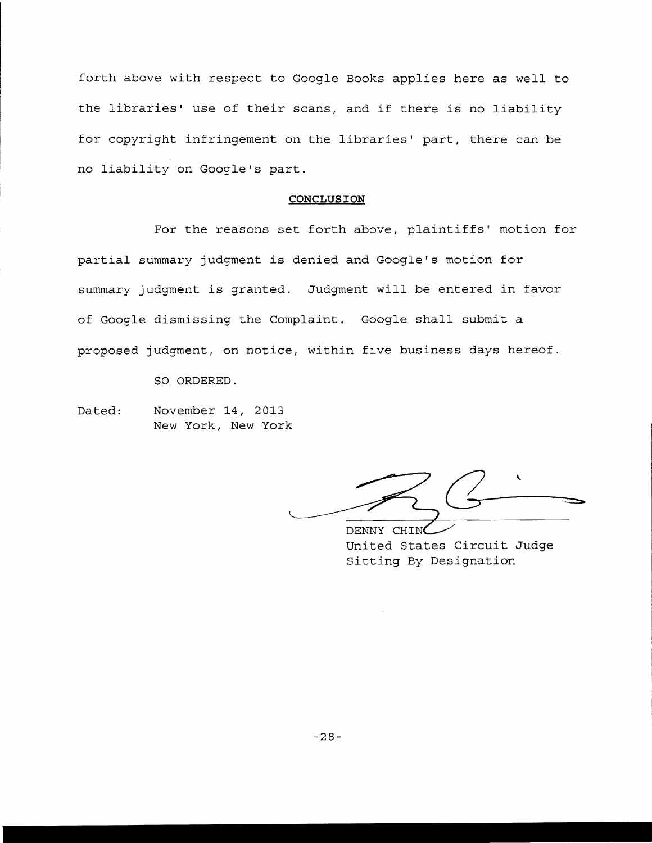forth above with respect to Google Books applies here as well to the libraries' use of their scans, and if there is no liability for copyright infringement on the libraries' part, there can be no liability on Google's part.

#### **CONCLUSION**

For the reasons set forth above, plaintiffs' motion for partial summary judgment is denied and Google's motion for summary judgment is granted. Judgment will be entered in favor of Google dismissing the Complaint. Google shall submit a proposed judgment, on notice, within five business days hereof.

SO ORDERED.

Dated: November 14, 2013 New York, New York

 $\frac{1}{\sqrt{\frac{1}{1-\frac{1}{1-\frac{1}{1-\frac{1}{1-\frac{1}{1-\frac{1}{1-\frac{1}{1-\frac{1}{1-\frac{1}{1-\frac{1}{1-\frac{1}{1-\frac{1}{1-\frac{1}{1-\frac{1}{1-\frac{1}{1-\frac{1}{1-\frac{1}{1-\frac{1}{1-\frac{1}{1-\frac{1}{1-\frac{1}{1-\frac{1}{1-\frac{1}{1-\frac{1}{1-\frac{1}{1-\frac{1}{1-\frac{1}{1-\frac{1}{1-\frac{1}{1-\frac{1}{1-\frac{1}{1-\frac{1}{1-\frac{1}{1-\frac{1}{1-\frac{1}{1-\frac{$ 

United States Circuit Judge Sitting By Designation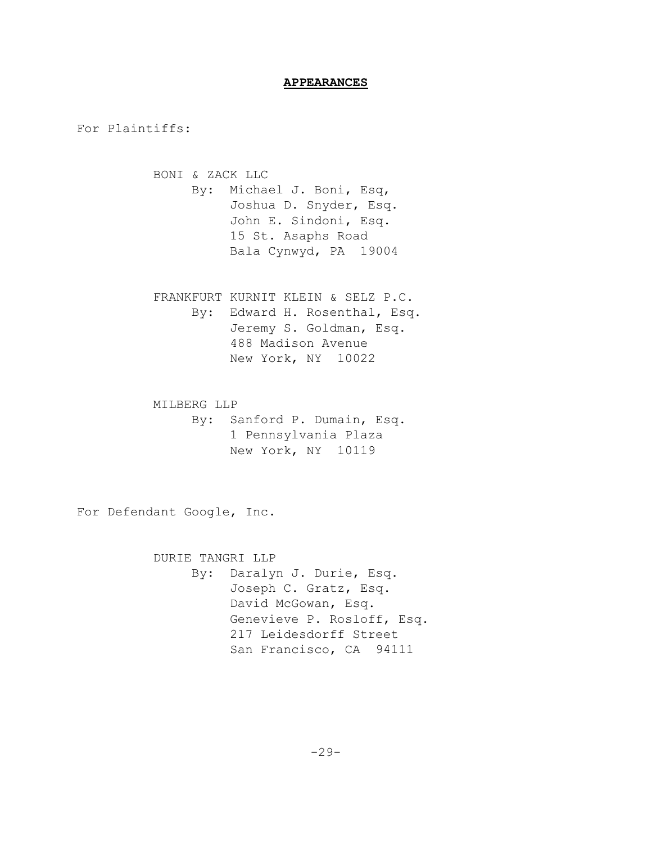# **APPEARANCES**

For Plaintiffs:

BONI & ZACK LLC By: Michael J. Boni, Esq, Joshua D. Snyder, Esq. John E. Sindoni, Esq. 15 St. Asaphs Road Bala Cynwyd, PA 19004

FRANKFURT KURNIT KLEIN & SELZ P.C. By: Edward H. Rosenthal, Esq. Jeremy S. Goldman, Esq. 488 Madison Avenue New York, NY 10022

MILBERG LLP By: Sanford P. Dumain, Esq. 1 Pennsylvania Plaza New York, NY 10119

For Defendant Google, Inc.

DURIE TANGRI LLP By: Daralyn J. Durie, Esq. Joseph C. Gratz, Esq. David McGowan, Esq. Genevieve P. Rosloff, Esq. 217 Leidesdorff Street San Francisco, CA 94111